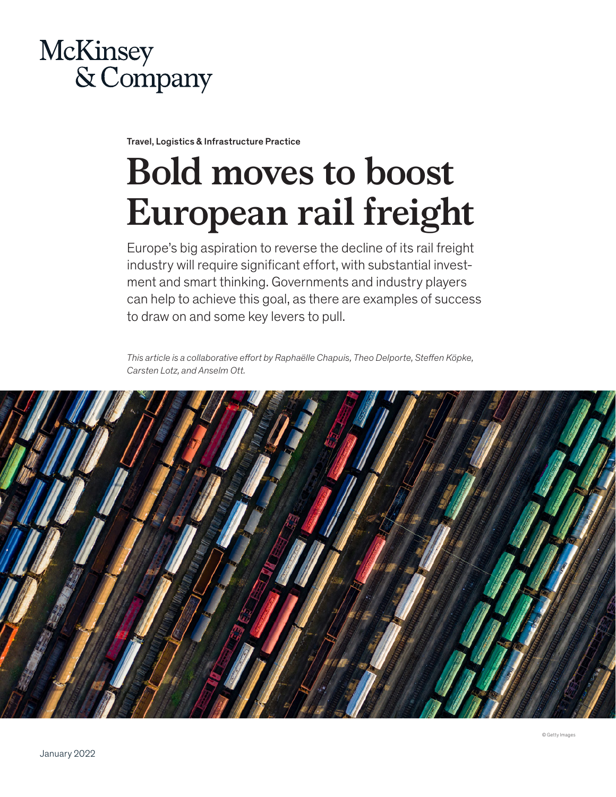

Travel, Logistics & Infrastructure Practice

# **Bold moves to boost European rail freight**

Europe's big aspiration to reverse the decline of its rail freight industry will require significant effort, with substantial investment and smart thinking. Governments and industry players can help to achieve this goal, as there are examples of success to draw on and some key levers to pull.

*This article is a collaborative effort by Raphaëlle Chapuis, Theo Delporte, Steffen Köpke, Carsten Lotz, and Anselm Ott.*

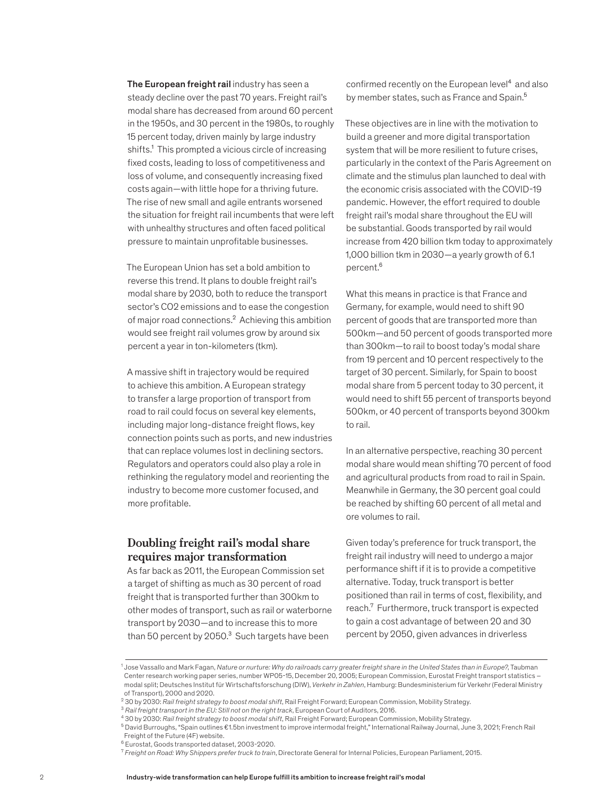The European freight rail industry has seen a steady decline over the past 70 years. Freight rail's modal share has decreased from around 60 percent in the 1950s, and 30 percent in the 1980s, to roughly 15 percent today, driven mainly by large industry shifts.<sup>1</sup> This prompted a vicious circle of increasing fixed costs, leading to loss of competitiveness and loss of volume, and consequently increasing fixed costs again—with little hope for a thriving future. The rise of new small and agile entrants worsened the situation for freight rail incumbents that were left with unhealthy structures and often faced political pressure to maintain unprofitable businesses.

The European Union has set a bold ambition to reverse this trend. It plans to double freight rail's modal share by 2030, both to reduce the transport sector's CO2 emissions and to ease the congestion of major road connections.<sup>2</sup> Achieving this ambition would see freight rail volumes grow by around six percent a year in ton-kilometers (tkm).

A massive shift in trajectory would be required to achieve this ambition. A European strategy to transfer a large proportion of transport from road to rail could focus on several key elements, including major long-distance freight flows, key connection points such as ports, and new industries that can replace volumes lost in declining sectors. Regulators and operators could also play a role in rethinking the regulatory model and reorienting the industry to become more customer focused, and more profitable.

## **Doubling freight rail's modal share requires major transformation**

As far back as 2011, the European Commission set a target of shifting as much as 30 percent of road freight that is transported further than 300km to other modes of transport, such as rail or waterborne transport by 2030—and to increase this to more than 50 percent by 2050.<sup>3</sup> Such targets have been

confirmed recently on the European level<sup>4</sup> and also by member states, such as France and Spain.<sup>5</sup>

These objectives are in line with the motivation to build a greener and more digital transportation system that will be more resilient to future crises, particularly in the context of the Paris Agreement on climate and the stimulus plan launched to deal with the economic crisis associated with the COVID-19 pandemic. However, the effort required to double freight rail's modal share throughout the EU will be substantial. Goods transported by rail would increase from 420 billion tkm today to approximately 1,000 billion tkm in 2030—a yearly growth of 6.1 percent.<sup>6</sup>

What this means in practice is that France and Germany, for example, would need to shift 90 percent of goods that are transported more than 500km—and 50 percent of goods transported more than 300km—to rail to boost today's modal share from 19 percent and 10 percent respectively to the target of 30 percent. Similarly, for Spain to boost modal share from 5 percent today to 30 percent, it would need to shift 55 percent of transports beyond 500km, or 40 percent of transports beyond 300km to rail.

In an alternative perspective, reaching 30 percent modal share would mean shifting 70 percent of food and agricultural products from road to rail in Spain. Meanwhile in Germany, the 30 percent goal could be reached by shifting 60 percent of all metal and ore volumes to rail.

Given today's preference for truck transport, the freight rail industry will need to undergo a major performance shift if it is to provide a competitive alternative. Today, truck transport is better positioned than rail in terms of cost, flexibility, and reach.<sup>7</sup> Furthermore, truck transport is expected to gain a cost advantage of between 20 and 30 percent by 2050, given advances in driverless

<sup>1</sup> Jose Vassallo and Mark Fagan, *Nature or nurture: Why do railroads carry greater freight share in the United States than in Europe?*, Taubman Center research working paper series, number WP05-15, December 20, 2005; European Commission, Eurostat Freight transport statistics – modal split; Deutsches Institut für Wirtschaftsforschung (DIW), *Verkehr in Zahlen*, Hamburg: Bundesministerium für Verkehr (Federal Ministry of Transport), 2000 and 2020.

<sup>2</sup> 30 by 2030: *Rail freight strategy to boost modal shift*, Rail Freight Forward; European Commission, Mobility Strategy.

<sup>3</sup> *Rail freight transport in the EU: Still not on the right track*, European Court of Auditors, 2016.

<sup>4</sup> 30 by 2030: *Rail freight strategy to boost modal shift*, Rail Freight Forward; European Commission, Mobility Strategy.

<sup>5</sup> David Burroughs, "Spain outlines €1.5bn investment to improve intermodal freight," International Railway Journal, June 3, 2021; French Rail

Freight of the Future (4F) website.

<sup>6</sup> Eurostat, Goods transported dataset, 2003-2020.

<sup>7</sup> *Freight on Road: Why Shippers prefer truck to train*, Directorate General for Internal Policies, European Parliament, 2015.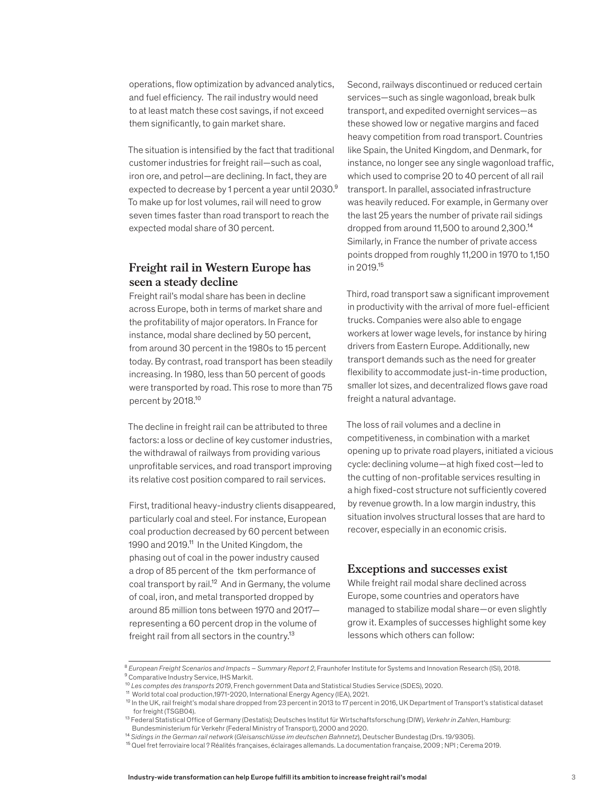operations, flow optimization by advanced analytics, and fuel efficiency. The rail industry would need to at least match these cost savings, if not exceed them significantly, to gain market share.

The situation is intensified by the fact that traditional customer industries for freight rail—such as coal, iron ore, and petrol—are declining. In fact, they are expected to decrease by 1 percent a year until 2030.<sup>9</sup> To make up for lost volumes, rail will need to grow seven times faster than road transport to reach the expected modal share of 30 percent.

# **Freight rail in Western Europe has seen a steady decline**

Freight rail's modal share has been in decline across Europe, both in terms of market share and the profitability of major operators. In France for instance, modal share declined by 50 percent, from around 30 percent in the 1980s to 15 percent today. By contrast, road transport has been steadily increasing. In 1980, less than 50 percent of goods were transported by road. This rose to more than 75 percent by 2018.<sup>10</sup>

The decline in freight rail can be attributed to three factors: a loss or decline of key customer industries, the withdrawal of railways from providing various unprofitable services, and road transport improving its relative cost position compared to rail services.

First, traditional heavy-industry clients disappeared, particularly coal and steel. For instance, European coal production decreased by 60 percent between 1990 and 2019.<sup>11</sup> In the United Kingdom, the phasing out of coal in the power industry caused a drop of 85 percent of the tkm performance of coal transport by rail.<sup>12</sup> And in Germany, the volume of coal, iron, and metal transported dropped by around 85 million tons between 1970 and 2017 representing a 60 percent drop in the volume of freight rail from all sectors in the country.<sup>13</sup>

Second, railways discontinued or reduced certain services—such as single wagonload, break bulk transport, and expedited overnight services—as these showed low or negative margins and faced heavy competition from road transport. Countries like Spain, the United Kingdom, and Denmark, for instance, no longer see any single wagonload traffic, which used to comprise 20 to 40 percent of all rail transport. In parallel, associated infrastructure was heavily reduced. For example, in Germany over the last 25 years the number of private rail sidings dropped from around 11,500 to around 2,300.14 Similarly, in France the number of private access points dropped from roughly 11,200 in 1970 to 1,150 in 2019.15

Third, road transport saw a significant improvement in productivity with the arrival of more fuel-efficient trucks. Companies were also able to engage workers at lower wage levels, for instance by hiring drivers from Eastern Europe. Additionally, new transport demands such as the need for greater flexibility to accommodate just-in-time production, smaller lot sizes, and decentralized flows gave road freight a natural advantage.

The loss of rail volumes and a decline in competitiveness, in combination with a market opening up to private road players, initiated a vicious cycle: declining volume—at high fixed cost—led to the cutting of non-profitable services resulting in a high fixed-cost structure not sufficiently covered by revenue growth. In a low margin industry, this situation involves structural losses that are hard to recover, especially in an economic crisis.

## **Exceptions and successes exist**

While freight rail modal share declined across Europe, some countries and operators have managed to stabilize modal share—or even slightly grow it. Examples of successes highlight some key lessons which others can follow:

<sup>8</sup> *European Freight Scenarios and Impacts – Summary Report 2*, Fraunhofer Institute for Systems and Innovation Research (ISI), 2018. <sup>9</sup> Comparative Industry Service, IHS Markit.

<sup>10</sup> *Les comptes des transports 2019*, French government Data and Statistical Studies Service (SDES), 2020.

<sup>11</sup> World total coal production,1971-2020, International Energy Agency (IEA), 2021.

<sup>&</sup>lt;sup>12</sup> In the UK, rail freight's modal share dropped from 23 percent in 2013 to 17 percent in 2016, UK Department of Transport's statistical dataset for freight (TSGB04).

<sup>13</sup> Federal Statistical Office of Germany (Destatis); Deutsches Institut für Wirtschaftsforschung (DIW), *Verkehr in Zahlen*, Hamburg: Bundesministerium für Verkehr (Federal Ministry of Transport), 2000 and 2020.

<sup>14</sup> *Sidings in the German rail network* (*Gleisanschlüsse im deutschen Bahnnetz*), Deutscher Bundestag (Drs. 19/9305).

<sup>15</sup> Quel fret ferroviaire local ? Réalités françaises, éclairages allemands. La documentation française, 2009 ; NPI ; Cerema 2019.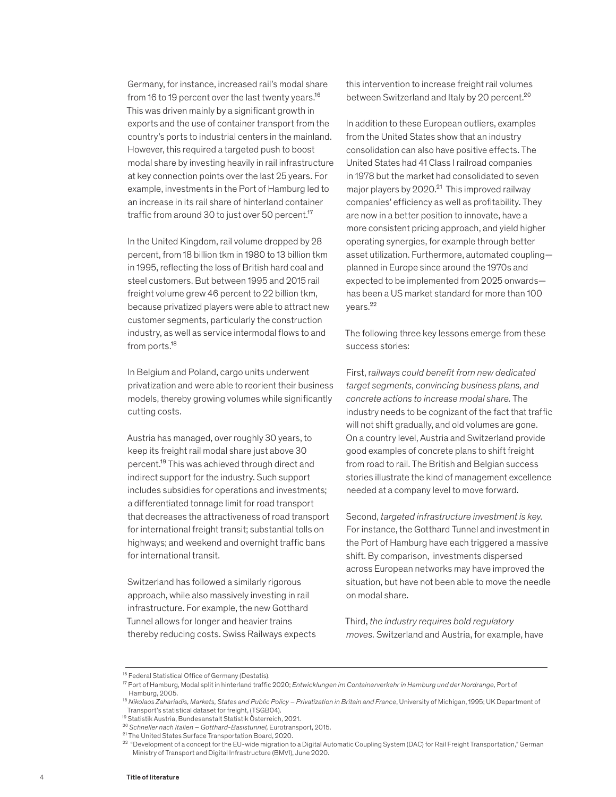Germany, for instance, increased rail's modal share from 16 to 19 percent over the last twenty years.<sup>16</sup> This was driven mainly by a significant growth in exports and the use of container transport from the country's ports to industrial centers in the mainland. However, this required a targeted push to boost modal share by investing heavily in rail infrastructure at key connection points over the last 25 years. For example, investments in the Port of Hamburg led to an increase in its rail share of hinterland container traffic from around 30 to just over 50 percent.<sup>17</sup>

In the United Kingdom, rail volume dropped by 28 percent, from 18 billion tkm in 1980 to 13 billion tkm in 1995, reflecting the loss of British hard coal and steel customers. But between 1995 and 2015 rail freight volume grew 46 percent to 22 billion tkm, because privatized players were able to attract new customer segments, particularly the construction industry, as well as service intermodal flows to and from ports.<sup>18</sup>

In Belgium and Poland, cargo units underwent privatization and were able to reorient their business models, thereby growing volumes while significantly cutting costs.

Austria has managed, over roughly 30 years, to keep its freight rail modal share just above 30 percent.19 This was achieved through direct and indirect support for the industry. Such support includes subsidies for operations and investments; a differentiated tonnage limit for road transport that decreases the attractiveness of road transport for international freight transit; substantial tolls on highways; and weekend and overnight traffic bans for international transit.

Switzerland has followed a similarly rigorous approach, while also massively investing in rail infrastructure. For example, the new Gotthard Tunnel allows for longer and heavier trains thereby reducing costs. Swiss Railways expects this intervention to increase freight rail volumes between Switzerland and Italy by 20 percent.<sup>20</sup>

In addition to these European outliers, examples from the United States show that an industry consolidation can also have positive effects. The United States had 41 Class I railroad companies in 1978 but the market had consolidated to seven major players by  $2020.<sup>21</sup>$  This improved railway companies' efficiency as well as profitability. They are now in a better position to innovate, have a more consistent pricing approach, and yield higher operating synergies, for example through better asset utilization. Furthermore, automated coupling planned in Europe since around the 1970s and expected to be implemented from 2025 onwards has been a US market standard for more than 100 years.22

The following three key lessons emerge from these success stories:

First, r*ailways could benefit from new dedicated target segments, convincing business plans, and concrete actions to increase modal share.* The industry needs to be cognizant of the fact that traffic will not shift gradually, and old volumes are gone. On a country level, Austria and Switzerland provide good examples of concrete plans to shift freight from road to rail. The British and Belgian success stories illustrate the kind of management excellence needed at a company level to move forward.

Second, *targeted infrastructure investment is key.*  For instance, the Gotthard Tunnel and investment in the Port of Hamburg have each triggered a massive shift. By comparison, investments dispersed across European networks may have improved the situation, but have not been able to move the needle on modal share.

Third, *the industry requires bold regulatory moves.* Switzerland and Austria, for example, have

<sup>&</sup>lt;sup>16</sup> Federal Statistical Office of Germany (Destatis).

<sup>17</sup> Port of Hamburg, Modal split in hinterland traffic 2020; *Entwicklungen im Containerverkehr in Hamburg und der Nordrange,* Port of Hamburg, 2005.

<sup>&</sup>lt;sup>18</sup> Nikolaos Zahariadis, Markets, States and Public Policy – Privatization in Britain and France, University of Michigan, 1995; UK Department of Transport's statistical dataset for freight, (TSGB04).

<sup>19</sup> Statistik Austria, Bundesanstalt Statistik Österreich, 2021.

<sup>20</sup> *Schneller nach Italien – Gotthard-Basistunnel,* Eurotransport, 2015.

<sup>21</sup> The United States Surface Transportation Board, 2020.

<sup>&</sup>lt;sup>22</sup> "Development of a concept for the EU-wide migration to a Digital Automatic Coupling System (DAC) for Rail Freight Transportation," German Ministry of Transport and Digital Infrastructure (BMVI), June 2020.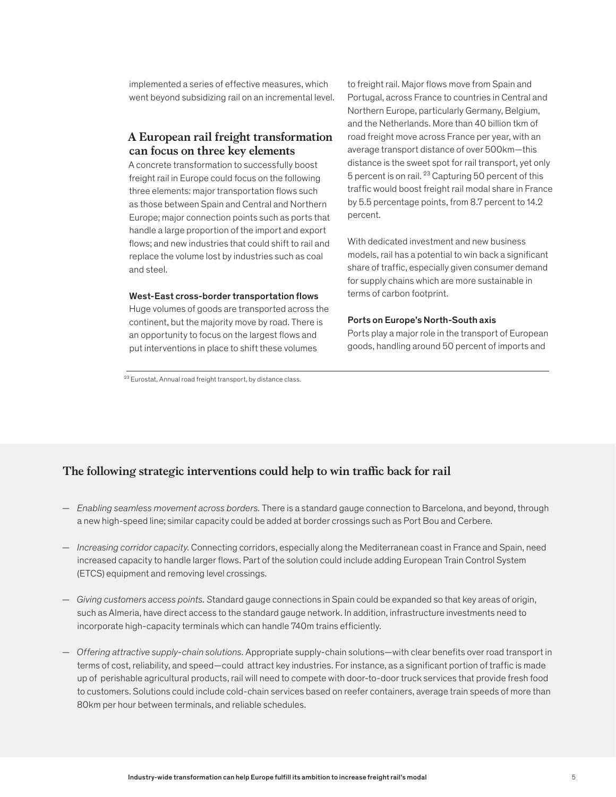implemented a series of effective measures, which went beyond subsidizing rail on an incremental level.

# **A European rail freight transformation can focus on three key elements**

A concrete transformation to successfully boost freight rail in Europe could focus on the following three elements: major transportation flows such as those between Spain and Central and Northern Europe; major connection points such as ports that handle a large proportion of the import and export flows; and new industries that could shift to rail and replace the volume lost by industries such as coal and steel.

#### West-East cross-border transportation flows

Huge volumes of goods are transported across the continent, but the majority move by road. There is an opportunity to focus on the largest flows and put interventions in place to shift these volumes

<sup>23</sup> Eurostat, Annual road freight transport, by distance class.

to freight rail. Major flows move from Spain and Portugal, across France to countries in Central and Northern Europe, particularly Germany, Belgium, and the Netherlands. More than 40 billion tkm of road freight move across France per year, with an average transport distance of over 500km—this distance is the sweet spot for rail transport, yet only 5 percent is on rail. 23 Capturing 50 percent of this traffic would boost freight rail modal share in France by 5.5 percentage points, from 8.7 percent to 14.2 percent.

With dedicated investment and new business models, rail has a potential to win back a significant share of traffic, especially given consumer demand for supply chains which are more sustainable in terms of carbon footprint.

#### Ports on Europe's North-South axis

Ports play a major role in the transport of European goods, handling around 50 percent of imports and

# **The following strategic interventions could help to win traffic back for rail**

- *Enabling seamless movement across borders.* There is a standard gauge connection to Barcelona, and beyond, through a new high-speed line; similar capacity could be added at border crossings such as Port Bou and Cerbere.
- *Increasing corridor capacity.* Connecting corridors, especially along the Mediterranean coast in France and Spain, need increased capacity to handle larger flows. Part of the solution could include adding European Train Control System (ETCS) equipment and removing level crossings.
- *Giving customers access points. S*tandard gauge connections in Spain could be expanded so that key areas of origin, such as Almeria, have direct access to the standard gauge network. In addition, infrastructure investments need to incorporate high-capacity terminals which can handle 740m trains efficiently.
- *Offering attractive supply-chain solutions.* Appropriate supply-chain solutions—with clear benefits over road transport in terms of cost, reliability, and speed—could attract key industries. For instance, as a significant portion of traffic is made up of perishable agricultural products, rail will need to compete with door-to-door truck services that provide fresh food to customers. Solutions could include cold-chain services based on reefer containers, average train speeds of more than 80km per hour between terminals, and reliable schedules.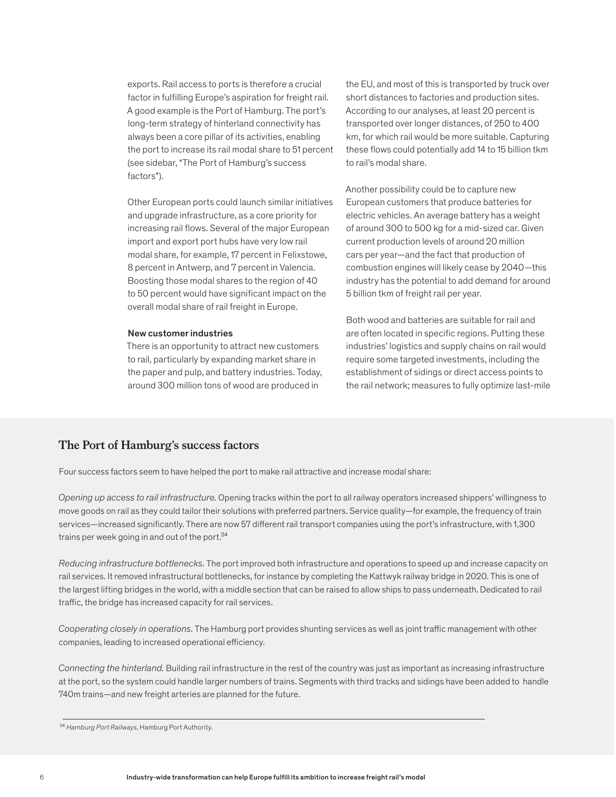exports. Rail access to ports is therefore a crucial factor in fulfilling Europe's aspiration for freight rail. A good example is the Port of Hamburg. The port's long-term strategy of hinterland connectivity has always been a core pillar of its activities, enabling the port to increase its rail modal share to 51 percent (see sidebar, "The Port of Hamburg's success factors").

Other European ports could launch similar initiatives and upgrade infrastructure, as a core priority for increasing rail flows. Several of the major European import and export port hubs have very low rail modal share, for example, 17 percent in Felixstowe, 8 percent in Antwerp, and 7 percent in Valencia. Boosting those modal shares to the region of 40 to 50 percent would have significant impact on the overall modal share of rail freight in Europe.

### New customer industries

There is an opportunity to attract new customers to rail, particularly by expanding market share in the paper and pulp, and battery industries. Today, around 300 million tons of wood are produced in

the EU, and most of this is transported by truck over short distances to factories and production sites. According to our analyses, at least 20 percent is transported over longer distances, of 250 to 400 km, for which rail would be more suitable. Capturing these flows could potentially add 14 to 15 billion tkm to rail's modal share.

Another possibility could be to capture new European customers that produce batteries for electric vehicles. An average battery has a weight of around 300 to 500 kg for a mid-sized car. Given current production levels of around 20 million cars per year—and the fact that production of combustion engines will likely cease by 2040—this industry has the potential to add demand for around 5 billion tkm of freight rail per year.

Both wood and batteries are suitable for rail and are often located in specific regions. Putting these industries' logistics and supply chains on rail would require some targeted investments, including the establishment of sidings or direct access points to the rail network; measures to fully optimize last-mile

## **The Port of Hamburg's success factors**

Four success factors seem to have helped the port to make rail attractive and increase modal share:

*Opening up access to rail infrastructure.* Opening tracks within the port to all railway operators increased shippers' willingness to move goods on rail as they could tailor their solutions with preferred partners. Service quality—for example, the frequency of train services—increased significantly. There are now 57 different rail transport companies using the port's infrastructure, with 1,300 trains per week going in and out of the port.24

*Reducing infrastructure bottlenecks.* The port improved both infrastructure and operations to speed up and increase capacity on rail services. It removed infrastructural bottlenecks, for instance by completing the Kattwyk railway bridge in 2020. This is one of the largest lifting bridges in the world, with a middle section that can be raised to allow ships to pass underneath. Dedicated to rail traffic, the bridge has increased capacity for rail services.

*Cooperating closely in operations.* The Hamburg port provides shunting services as well as joint traffic management with other companies, leading to increased operational efficiency.

*Connecting the hinterland.* Building rail infrastructure in the rest of the country was just as important as increasing infrastructure at the port, so the system could handle larger numbers of trains. Segments with third tracks and sidings have been added to handle 740m trains—and new freight arteries are planned for the future.

<sup>24</sup> *Hamburg Port Railways*, Hamburg Port Authority.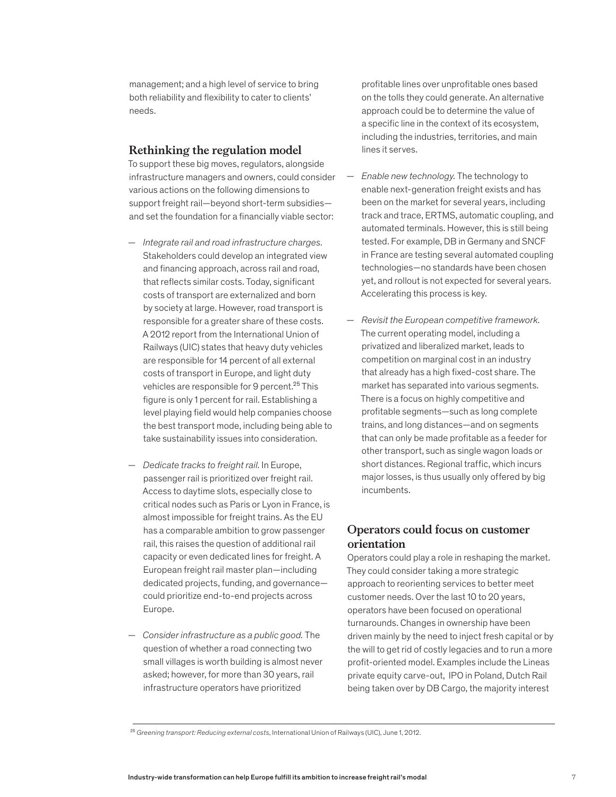management; and a high level of service to bring both reliability and flexibility to cater to clients' needs.

## **Rethinking the regulation model**

To support these big moves, regulators, alongside infrastructure managers and owners, could consider various actions on the following dimensions to support freight rail—beyond short-term subsidies and set the foundation for a financially viable sector:

- *Integrate rail and road infrastructure charges.*  Stakeholders could develop an integrated view and financing approach, across rail and road, that reflects similar costs. Today, significant costs of transport are externalized and born by society at large. However, road transport is responsible for a greater share of these costs. A 2012 report from the International Union of Railways (UIC) states that heavy duty vehicles are responsible for 14 percent of all external costs of transport in Europe, and light duty vehicles are responsible for 9 percent.<sup>25</sup> This figure is only 1 percent for rail. Establishing a level playing field would help companies choose the best transport mode, including being able to take sustainability issues into consideration.
- *Dedicate tracks to freight rail.* In Europe, passenger rail is prioritized over freight rail. Access to daytime slots, especially close to critical nodes such as Paris or Lyon in France, is almost impossible for freight trains. As the EU has a comparable ambition to grow passenger rail, this raises the question of additional rail capacity or even dedicated lines for freight. A European freight rail master plan—including dedicated projects, funding, and governance could prioritize end-to-end projects across Europe.
- *Consider infrastructure as a public good.* The question of whether a road connecting two small villages is worth building is almost never asked; however, for more than 30 years, rail infrastructure operators have prioritized

profitable lines over unprofitable ones based on the tolls they could generate. An alternative approach could be to determine the value of a specific line in the context of its ecosystem, including the industries, territories, and main lines it serves.

- *Enable new technology.* The technology to enable next-generation freight exists and has been on the market for several years, including track and trace, ERTMS, automatic coupling, and automated terminals. However, this is still being tested. For example, DB in Germany and SNCF in France are testing several automated coupling technologies—no standards have been chosen yet, and rollout is not expected for several years. Accelerating this process is key.
- *Revisit the European competitive framework.*  The current operating model, including a privatized and liberalized market, leads to competition on marginal cost in an industry that already has a high fixed-cost share. The market has separated into various segments. There is a focus on highly competitive and profitable segments—such as long complete trains, and long distances—and on segments that can only be made profitable as a feeder for other transport, such as single wagon loads or short distances. Regional traffic, which incurs major losses, is thus usually only offered by big incumbents.

## **Operators could focus on customer orientation**

Operators could play a role in reshaping the market. They could consider taking a more strategic approach to reorienting services to better meet customer needs. Over the last 10 to 20 years, operators have been focused on operational turnarounds. Changes in ownership have been driven mainly by the need to inject fresh capital or by the will to get rid of costly legacies and to run a more profit-oriented model. Examples include the Lineas private equity carve-out, IPO in Poland, Dutch Rail being taken over by DB Cargo, the majority interest

<sup>25</sup> *Greening transport: Reducing external costs*, International Union of Railways (UIC), June 1, 2012.